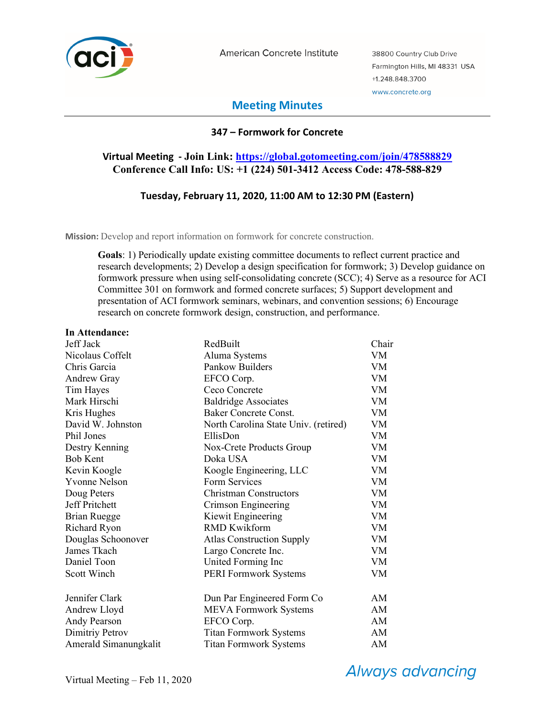

American Concrete Institute

38800 Country Club Drive Farmington Hills, MI 48331 USA +1.248.848.3700 www.concrete.org

# **Meeting Minutes**

# **347 – Formwork for Concrete**

# **Virtual Meeting - Join Link: https://global.gotomeeting.com/join/478588829 Conference Call Info: US: +1 (224) 501-3412 Access Code: 478-588-829**

### **Tuesday, February 11, 2020, 11:00 AM to 12:30 PM (Eastern)**

**Mission:** Develop and report information on formwork for concrete construction.

**Goals**: 1) Periodically update existing committee documents to reflect current practice and research developments; 2) Develop a design specification for formwork; 3) Develop guidance on formwork pressure when using self-consolidating concrete (SCC); 4) Serve as a resource for ACI Committee 301 on formwork and formed concrete surfaces; 5) Support development and presentation of ACI formwork seminars, webinars, and convention sessions; 6) Encourage research on concrete formwork design, construction, and performance.

#### **In Attendance:**

| Jeff Jack             | RedBuilt                             | Chair     |
|-----------------------|--------------------------------------|-----------|
| Nicolaus Coffelt      | Aluma Systems                        | VM        |
| Chris Garcia          | Pankow Builders                      | VM        |
| <b>Andrew Gray</b>    | EFCO Corp.                           | <b>VM</b> |
| Tim Hayes             | Ceco Concrete                        | VM        |
| Mark Hirschi          | <b>Baldridge Associates</b>          | <b>VM</b> |
| Kris Hughes           | <b>Baker Concrete Const.</b>         | VM        |
| David W. Johnston     | North Carolina State Univ. (retired) | VM        |
| Phil Jones            | EllisDon                             | VM        |
| Destry Kenning        | Nox-Crete Products Group             | VM        |
| <b>Bob Kent</b>       | Doka USA                             | VM        |
| Kevin Koogle          | Koogle Engineering, LLC              | VM        |
| <b>Yvonne Nelson</b>  | Form Services                        | VM        |
| Doug Peters           | <b>Christman Constructors</b>        | VM        |
| Jeff Pritchett        | Crimson Engineering                  | VM        |
| <b>Brian Ruegge</b>   | Kiewit Engineering                   | <b>VM</b> |
| <b>Richard Ryon</b>   | <b>RMD Kwikform</b>                  | <b>VM</b> |
| Douglas Schoonover    | <b>Atlas Construction Supply</b>     | VM        |
| James Tkach           | Largo Concrete Inc.                  | VM        |
| Daniel Toon           | United Forming Inc                   | VM        |
| Scott Winch           | <b>PERI Formwork Systems</b>         | VM        |
| Jennifer Clark        | Dun Par Engineered Form Co           | AM        |
| Andrew Lloyd          | <b>MEVA Formwork Systems</b>         | AM        |
| Andy Pearson          | EFCO Corp.                           | AM        |
| Dimitriy Petrov       | <b>Titan Formwork Systems</b>        | AM        |
| Amerald Simanungkalit | <b>Titan Formwork Systems</b>        | AM        |

**Always advancing**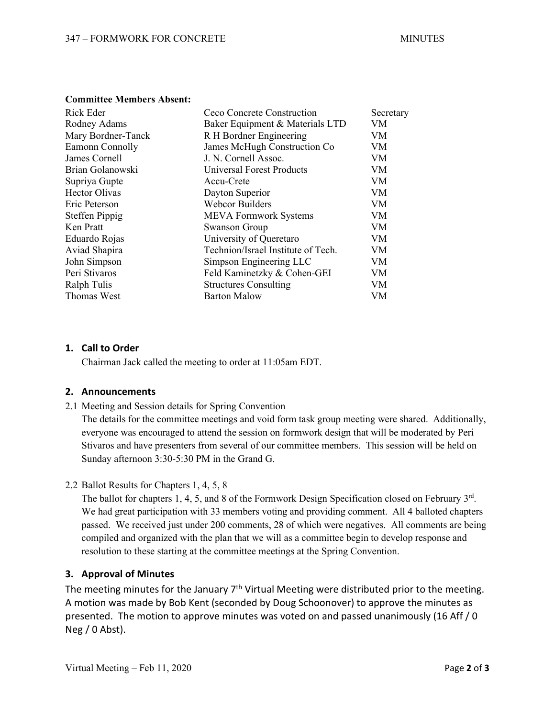#### **Committee Members Absent:**

| Rick Eder             | Ceco Concrete Construction         | Secretary |
|-----------------------|------------------------------------|-----------|
| Rodney Adams          | Baker Equipment & Materials LTD    | VM        |
| Mary Bordner-Tanck    | R H Bordner Engineering            | VM        |
| Eamonn Connolly       | James McHugh Construction Co       | VM        |
| James Cornell         | J. N. Cornell Assoc.               | VM        |
| Brian Golanowski      | <b>Universal Forest Products</b>   | VM        |
| Supriya Gupte         | Accu-Crete                         | <b>VM</b> |
| Hector Olivas         | Dayton Superior                    | VM        |
| Eric Peterson         | <b>Webcor Builders</b>             | VM        |
| <b>Steffen Pippig</b> | <b>MEVA Formwork Systems</b>       | VM        |
| Ken Pratt             | <b>Swanson Group</b>               | VM        |
| Eduardo Rojas         | University of Queretaro            | VM        |
| Aviad Shapira         | Technion/Israel Institute of Tech. | <b>VM</b> |
| John Simpson          | Simpson Engineering LLC            | VM        |
| Peri Stivaros         | Feld Kaminetzky & Cohen-GEI        | VM        |
| Ralph Tulis           | <b>Structures Consulting</b>       | VM        |
| Thomas West           | <b>Barton Malow</b>                | VM        |

### **1. Call to Order**

Chairman Jack called the meeting to order at 11:05am EDT.

# **2. Announcements**

2.1 Meeting and Session details for Spring Convention

The details for the committee meetings and void form task group meeting were shared. Additionally, everyone was encouraged to attend the session on formwork design that will be moderated by Peri Stivaros and have presenters from several of our committee members. This session will be held on Sunday afternoon 3:30-5:30 PM in the Grand G.

# 2.2 Ballot Results for Chapters 1, 4, 5, 8

The ballot for chapters 1, 4, 5, and 8 of the Formwork Design Specification closed on February 3rd. We had great participation with 33 members voting and providing comment. All 4 balloted chapters passed. We received just under 200 comments, 28 of which were negatives. All comments are being compiled and organized with the plan that we will as a committee begin to develop response and resolution to these starting at the committee meetings at the Spring Convention.

# **3. Approval of Minutes**

The meeting minutes for the January  $7<sup>th</sup>$  Virtual Meeting were distributed prior to the meeting. A motion was made by Bob Kent (seconded by Doug Schoonover) to approve the minutes as presented. The motion to approve minutes was voted on and passed unanimously (16 Aff / 0  $Neg / 0$  Abst).